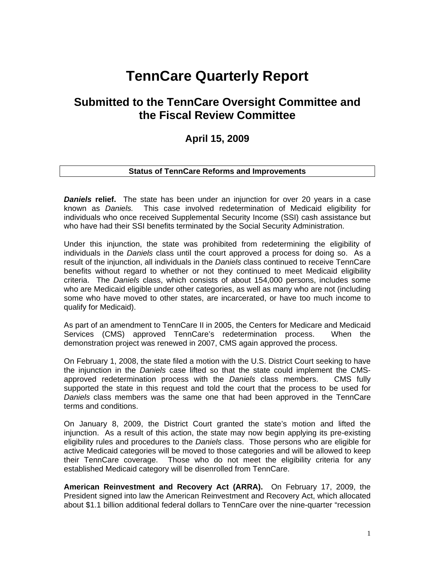# **TennCare Quarterly Report**

# **Submitted to the TennCare Oversight Committee and the Fiscal Review Committee**

# **April 15, 2009**

# **Status of TennCare Reforms and Improvements**

**Daniels relief.** The state has been under an injunction for over 20 years in a case known as *Daniels.* This case involved redetermination of Medicaid eligibility for individuals who once received Supplemental Security Income (SSI) cash assistance but who have had their SSI benefits terminated by the Social Security Administration.

Under this injunction, the state was prohibited from redetermining the eligibility of individuals in the *Daniels* class until the court approved a process for doing so. As a result of the injunction, all individuals in the *Daniels* class continued to receive TennCare benefits without regard to whether or not they continued to meet Medicaid eligibility criteria. The *Daniels* class, which consists of about 154,000 persons, includes some who are Medicaid eligible under other categories, as well as many who are not (including some who have moved to other states, are incarcerated, or have too much income to qualify for Medicaid).

As part of an amendment to TennCare II in 2005, the Centers for Medicare and Medicaid Services (CMS) approved TennCare's redetermination process. When the demonstration project was renewed in 2007, CMS again approved the process.

On February 1, 2008, the state filed a motion with the U.S. District Court seeking to have the injunction in the *Daniels* case lifted so that the state could implement the CMSapproved redetermination process with the *Daniels* class members. CMS fully supported the state in this request and told the court that the process to be used for *Daniels* class members was the same one that had been approved in the TennCare terms and conditions.

On January 8, 2009, the District Court granted the state's motion and lifted the injunction. As a result of this action, the state may now begin applying its pre-existing eligibility rules and procedures to the *Daniels* class. Those persons who are eligible for active Medicaid categories will be moved to those categories and will be allowed to keep their TennCare coverage. Those who do not meet the eligibility criteria for any established Medicaid category will be disenrolled from TennCare.

**American Reinvestment and Recovery Act (ARRA).** On February 17, 2009, the President signed into law the American Reinvestment and Recovery Act, which allocated about \$1.1 billion additional federal dollars to TennCare over the nine-quarter "recession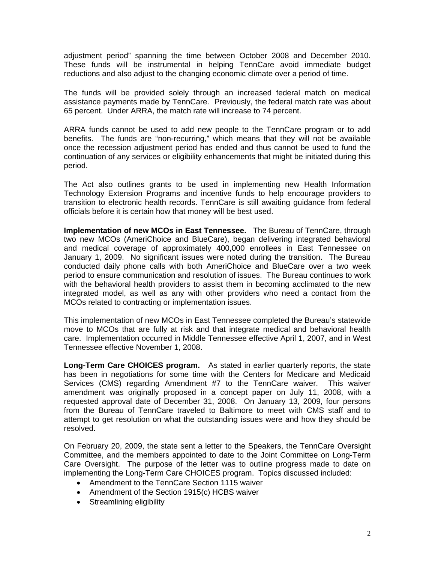adjustment period" spanning the time between October 2008 and December 2010. These funds will be instrumental in helping TennCare avoid immediate budget reductions and also adjust to the changing economic climate over a period of time.

The funds will be provided solely through an increased federal match on medical assistance payments made by TennCare. Previously, the federal match rate was about 65 percent. Under ARRA, the match rate will increase to 74 percent.

ARRA funds cannot be used to add new people to the TennCare program or to add benefits. The funds are "non-recurring," which means that they will not be available once the recession adjustment period has ended and thus cannot be used to fund the continuation of any services or eligibility enhancements that might be initiated during this period.

The Act also outlines grants to be used in implementing new Health Information Technology Extension Programs and incentive funds to help encourage providers to transition to electronic health records. TennCare is still awaiting guidance from federal officials before it is certain how that money will be best used.

**Implementation of new MCOs in East Tennessee.** The Bureau of TennCare, through two new MCOs (AmeriChoice and BlueCare), began delivering integrated behavioral and medical coverage of approximately 400,000 enrollees in East Tennessee on January 1, 2009. No significant issues were noted during the transition. The Bureau conducted daily phone calls with both AmeriChoice and BlueCare over a two week period to ensure communication and resolution of issues. The Bureau continues to work with the behavioral health providers to assist them in becoming acclimated to the new integrated model, as well as any with other providers who need a contact from the MCOs related to contracting or implementation issues.

This implementation of new MCOs in East Tennessee completed the Bureau's statewide move to MCOs that are fully at risk and that integrate medical and behavioral health care. Implementation occurred in Middle Tennessee effective April 1, 2007, and in West Tennessee effective November 1, 2008.

**Long-Term Care CHOICES program.** As stated in earlier quarterly reports, the state has been in negotiations for some time with the Centers for Medicare and Medicaid Services (CMS) regarding Amendment #7 to the TennCare waiver. This waiver amendment was originally proposed in a concept paper on July 11, 2008, with a requested approval date of December 31, 2008. On January 13, 2009, four persons from the Bureau of TennCare traveled to Baltimore to meet with CMS staff and to attempt to get resolution on what the outstanding issues were and how they should be resolved.

On February 20, 2009, the state sent a letter to the Speakers, the TennCare Oversight Committee, and the members appointed to date to the Joint Committee on Long-Term Care Oversight. The purpose of the letter was to outline progress made to date on implementing the Long-Term Care CHOICES program. Topics discussed included:

- Amendment to the TennCare Section 1115 waiver
- Amendment of the Section 1915(c) HCBS waiver
- Streamlining eligibility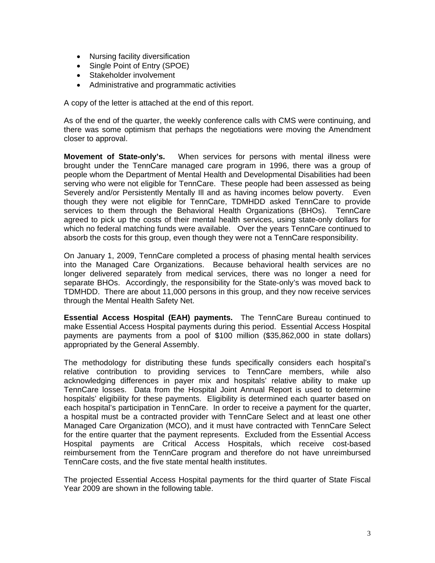- Nursing facility diversification
- Single Point of Entry (SPOE)
- Stakeholder involvement
- Administrative and programmatic activities

A copy of the letter is attached at the end of this report.

As of the end of the quarter, the weekly conference calls with CMS were continuing, and there was some optimism that perhaps the negotiations were moving the Amendment closer to approval.

**Movement of State-only's.** When services for persons with mental illness were brought under the TennCare managed care program in 1996, there was a group of people whom the Department of Mental Health and Developmental Disabilities had been serving who were not eligible for TennCare. These people had been assessed as being Severely and/or Persistently Mentally Ill and as having incomes below poverty. Even though they were not eligible for TennCare, TDMHDD asked TennCare to provide services to them through the Behavioral Health Organizations (BHOs). TennCare agreed to pick up the costs of their mental health services, using state-only dollars for which no federal matching funds were available. Over the years TennCare continued to absorb the costs for this group, even though they were not a TennCare responsibility.

On January 1, 2009, TennCare completed a process of phasing mental health services into the Managed Care Organizations. Because behavioral health services are no longer delivered separately from medical services, there was no longer a need for separate BHOs. Accordingly, the responsibility for the State-only's was moved back to TDMHDD. There are about 11,000 persons in this group, and they now receive services through the Mental Health Safety Net.

**Essential Access Hospital (EAH) payments.** The TennCare Bureau continued to make Essential Access Hospital payments during this period. Essential Access Hospital payments are payments from a pool of \$100 million (\$35,862,000 in state dollars) appropriated by the General Assembly.

The methodology for distributing these funds specifically considers each hospital's relative contribution to providing services to TennCare members, while also acknowledging differences in payer mix and hospitals' relative ability to make up TennCare losses. Data from the Hospital Joint Annual Report is used to determine hospitals' eligibility for these payments. Eligibility is determined each quarter based on each hospital's participation in TennCare. In order to receive a payment for the quarter, a hospital must be a contracted provider with TennCare Select and at least one other Managed Care Organization (MCO), and it must have contracted with TennCare Select for the entire quarter that the payment represents. Excluded from the Essential Access Hospital payments are Critical Access Hospitals, which receive cost-based reimbursement from the TennCare program and therefore do not have unreimbursed TennCare costs, and the five state mental health institutes.

The projected Essential Access Hospital payments for the third quarter of State Fiscal Year 2009 are shown in the following table.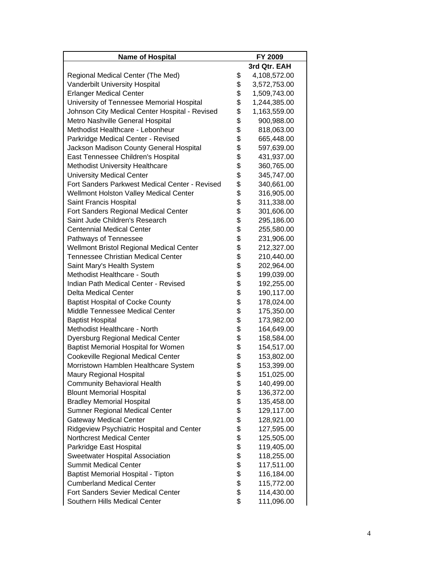| <b>Name of Hospital</b>                        |          | FY 2009      |
|------------------------------------------------|----------|--------------|
|                                                |          | 3rd Qtr. EAH |
| Regional Medical Center (The Med)              | \$       | 4,108,572.00 |
| Vanderbilt University Hospital                 | \$       | 3,572,753.00 |
| <b>Erlanger Medical Center</b>                 | \$       | 1,509,743.00 |
| University of Tennessee Memorial Hospital      | \$       | 1,244,385.00 |
| Johnson City Medical Center Hospital - Revised | \$       | 1,163,559.00 |
| Metro Nashville General Hospital               |          | 900,988.00   |
| Methodist Healthcare - Lebonheur               | \$<br>\$ | 818,063.00   |
| Parkridge Medical Center - Revised             | \$       | 665,448.00   |
| Jackson Madison County General Hospital        | \$       | 597,639.00   |
| East Tennessee Children's Hospital             | \$       | 431,937.00   |
| <b>Methodist University Healthcare</b>         | \$       | 360,765.00   |
| <b>University Medical Center</b>               | \$       | 345,747.00   |
| Fort Sanders Parkwest Medical Center - Revised |          | 340,661.00   |
| <b>Wellmont Holston Valley Medical Center</b>  |          | 316,905.00   |
| Saint Francis Hospital                         | \$\$     | 311,338.00   |
| Fort Sanders Regional Medical Center           | \$       | 301,606.00   |
| Saint Jude Children's Research                 | \$       | 295,186.00   |
| <b>Centennial Medical Center</b>               | \$       | 255,580.00   |
| Pathways of Tennessee                          | \$       | 231,906.00   |
| Wellmont Bristol Regional Medical Center       | \$       | 212,327.00   |
| <b>Tennessee Christian Medical Center</b>      | \$       | 210,440.00   |
| Saint Mary's Health System                     |          | 202,964.00   |
| Methodist Healthcare - South                   | \$<br>\$ | 199,039.00   |
| Indian Path Medical Center - Revised           | \$       | 192,255.00   |
| <b>Delta Medical Center</b>                    | \$       | 190,117.00   |
| <b>Baptist Hospital of Cocke County</b>        | \$       | 178,024.00   |
| Middle Tennessee Medical Center                | \$       | 175,350.00   |
| <b>Baptist Hospital</b>                        |          | 173,982.00   |
| Methodist Healthcare - North                   | \$\$\$   | 164,649.00   |
| Dyersburg Regional Medical Center              |          | 158,584.00   |
| <b>Baptist Memorial Hospital for Women</b>     |          | 154,517.00   |
| <b>Cookeville Regional Medical Center</b>      | \$       | 153,802.00   |
| Morristown Hamblen Healthcare System           | \$       | 153,399.00   |
| Maury Regional Hospital                        | \$       | 151,025.00   |
| <b>Community Behavioral Health</b>             | \$       | 140,499.00   |
| <b>Blount Memorial Hospital</b>                | \$       | 136,372.00   |
| <b>Bradley Memorial Hospital</b>               | \$\$     | 135,458.00   |
| Sumner Regional Medical Center                 |          | 129,117.00   |
| <b>Gateway Medical Center</b>                  |          | 128,921.00   |
| Ridgeview Psychiatric Hospital and Center      | \$       | 127,595.00   |
| <b>Northcrest Medical Center</b>               | \$       | 125,505.00   |
| Parkridge East Hospital                        | \$       | 119,405.00   |
| Sweetwater Hospital Association                | \$       | 118,255.00   |
| <b>Summit Medical Center</b>                   | \$<br>\$ | 117,511.00   |
| Baptist Memorial Hospital - Tipton             |          | 116,184.00   |
| <b>Cumberland Medical Center</b>               | \$       | 115,772.00   |
| Fort Sanders Sevier Medical Center             | \$       | 114,430.00   |
| Southern Hills Medical Center                  | \$       | 111,096.00   |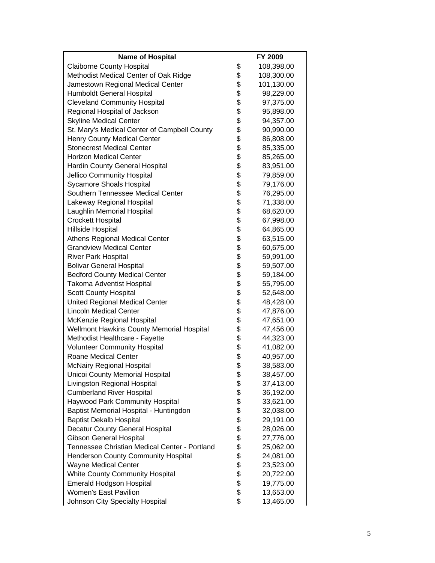| <b>Name of Hospital</b>                       |                                                            | FY 2009    |
|-----------------------------------------------|------------------------------------------------------------|------------|
| <b>Claiborne County Hospital</b>              | \$                                                         | 108,398.00 |
| Methodist Medical Center of Oak Ridge         | \$                                                         | 108,300.00 |
| Jamestown Regional Medical Center             | \$                                                         | 101,130.00 |
| Humboldt General Hospital                     | \$                                                         | 98,229.00  |
| <b>Cleveland Community Hospital</b>           |                                                            | 97,375.00  |
| Regional Hospital of Jackson                  |                                                            | 95,898.00  |
| <b>Skyline Medical Center</b>                 |                                                            | 94,357.00  |
| St. Mary's Medical Center of Campbell County  |                                                            | 90,990.00  |
| Henry County Medical Center                   |                                                            | 86,808.00  |
| <b>Stonecrest Medical Center</b>              |                                                            | 85,335.00  |
| <b>Horizon Medical Center</b>                 |                                                            | 85,265.00  |
| Hardin County General Hospital                |                                                            | 83,951.00  |
| Jellico Community Hospital                    |                                                            | 79,859.00  |
| <b>Sycamore Shoals Hospital</b>               |                                                            | 79,176.00  |
| Southern Tennessee Medical Center             |                                                            | 76,295.00  |
| Lakeway Regional Hospital                     |                                                            | 71,338.00  |
| Laughlin Memorial Hospital                    |                                                            | 68,620.00  |
| <b>Crockett Hospital</b>                      |                                                            | 67,998.00  |
| Hillside Hospital                             |                                                            | 64,865.00  |
| <b>Athens Regional Medical Center</b>         |                                                            | 63,515.00  |
| <b>Grandview Medical Center</b>               |                                                            | 60,675.00  |
| <b>River Park Hospital</b>                    |                                                            | 59,991.00  |
| <b>Bolivar General Hospital</b>               |                                                            | 59,507.00  |
| <b>Bedford County Medical Center</b>          |                                                            | 59,184.00  |
| <b>Takoma Adventist Hospital</b>              | \$\$\$\$\$\$\$\$\$\$\$\$\$\$\$\$\$\$\$\$\$\$\$\$\$\$\$\$\$ | 55,795.00  |
| <b>Scott County Hospital</b>                  |                                                            | 52,648.00  |
| United Regional Medical Center                |                                                            | 48,428.00  |
| <b>Lincoln Medical Center</b>                 |                                                            | 47,876.00  |
| McKenzie Regional Hospital                    |                                                            | 47,651.00  |
| Wellmont Hawkins County Memorial Hospital     | \$\$\$\$\$                                                 | 47,456.00  |
| Methodist Healthcare - Fayette                |                                                            | 44,323.00  |
| <b>Volunteer Community Hospital</b>           |                                                            | 41,082.00  |
| <b>Roane Medical Center</b>                   |                                                            | 40,957.00  |
| <b>McNairy Regional Hospital</b>              |                                                            | 38,583.00  |
| Unicoi County Memorial Hospital               | \$                                                         | 38,457.00  |
| Livingston Regional Hospital                  |                                                            | 37,413.00  |
| <b>Cumberland River Hospital</b>              |                                                            | 36,192.00  |
| Haywood Park Community Hospital               |                                                            | 33,621.00  |
| Baptist Memorial Hospital - Huntingdon        |                                                            | 32,038.00  |
| <b>Baptist Dekalb Hospital</b>                |                                                            | 29,191.00  |
| <b>Decatur County General Hospital</b>        |                                                            | 28,026.00  |
| <b>Gibson General Hospital</b>                |                                                            | 27,776.00  |
| Tennessee Christian Medical Center - Portland |                                                            | 25,062.00  |
| <b>Henderson County Community Hospital</b>    |                                                            | 24,081.00  |
| <b>Wayne Medical Center</b>                   |                                                            | 23,523.00  |
| <b>White County Community Hospital</b>        | <b>8888888888888888888888</b>                              | 20,722.00  |
| <b>Emerald Hodgson Hospital</b>               |                                                            | 19,775.00  |
| <b>Women's East Pavilion</b>                  |                                                            | 13,653.00  |
| Johnson City Specialty Hospital               | \$                                                         | 13,465.00  |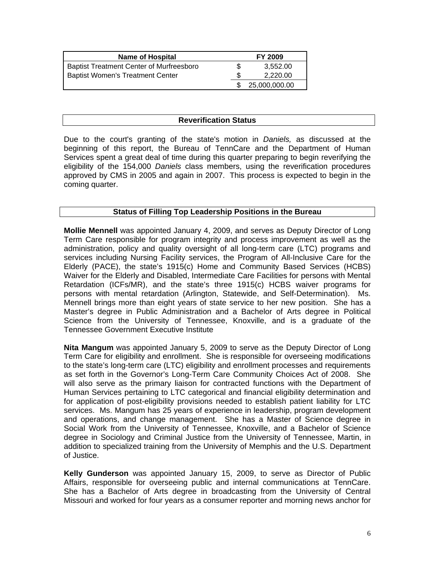| <b>Name of Hospital</b>                         | <b>FY 2009</b> |               |
|-------------------------------------------------|----------------|---------------|
| <b>Baptist Treatment Center of Murfreesboro</b> |                | 3.552.00      |
| <b>Baptist Women's Treatment Center</b>         |                | 2,220.00      |
|                                                 |                | 25,000,000.00 |

# **Reverification Status**

Due to the court's granting of the state's motion in *Daniels,* as discussed at the beginning of this report, the Bureau of TennCare and the Department of Human Services spent a great deal of time during this quarter preparing to begin reverifying the eligibility of the 154,000 *Daniels* class members, using the reverification procedures approved by CMS in 2005 and again in 2007. This process is expected to begin in the coming quarter.

# **Status of Filling Top Leadership Positions in the Bureau**

**Mollie Mennell** was appointed January 4, 2009, and serves as Deputy Director of Long Term Care responsible for program integrity and process improvement as well as the administration, policy and quality oversight of all long-term care (LTC) programs and services including Nursing Facility services, the Program of All-Inclusive Care for the Elderly (PACE), the state's 1915(c) Home and Community Based Services (HCBS) Waiver for the Elderly and Disabled, Intermediate Care Facilities for persons with Mental Retardation (ICFs/MR), and the state's three 1915(c) HCBS waiver programs for persons with mental retardation (Arlington, Statewide, and Self-Determination). Ms. Mennell brings more than eight years of state service to her new position. She has a Master's degree in Public Administration and a Bachelor of Arts degree in Political Science from the University of Tennessee, Knoxville, and is a graduate of the Tennessee Government Executive Institute

**Nita Mangum** was appointed January 5, 2009 to serve as the Deputy Director of Long Term Care for eligibility and enrollment. She is responsible for overseeing modifications to the state's long-term care (LTC) eligibility and enrollment processes and requirements as set forth in the Governor's Long-Term Care Community Choices Act of 2008. She will also serve as the primary liaison for contracted functions with the Department of Human Services pertaining to LTC categorical and financial eligibility determination and for application of post-eligibility provisions needed to establish patient liability for LTC services. Ms. Mangum has 25 years of experience in leadership, program development and operations, and change management. She has a Master of Science degree in Social Work from the University of Tennessee, Knoxville, and a Bachelor of Science degree in Sociology and Criminal Justice from the University of Tennessee, Martin, in addition to specialized training from the University of Memphis and the U.S. Department of Justice.

**Kelly Gunderson** was appointed January 15, 2009, to serve as Director of Public Affairs, responsible for overseeing public and internal communications at TennCare. She has a Bachelor of Arts degree in broadcasting from the University of Central Missouri and worked for four years as a consumer reporter and morning news anchor for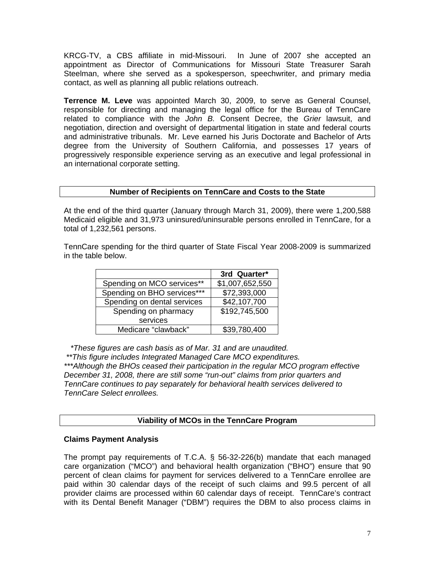KRCG-TV, a CBS affiliate in mid-Missouri. In June of 2007 she accepted an appointment as Director of Communications for Missouri State Treasurer Sarah Steelman, where she served as a spokesperson, speechwriter, and primary media contact, as well as planning all public relations outreach.

**Terrence M. Leve** was appointed March 30, 2009, to serve as General Counsel, responsible for directing and managing the legal office for the Bureau of TennCare related to compliance with the *John B.* Consent Decree, the *Grier* lawsuit, and negotiation, direction and oversight of departmental litigation in state and federal courts and administrative tribunals. Mr. Leve earned his Juris Doctorate and Bachelor of Arts degree from the University of Southern California, and possesses 17 years of progressively responsible experience serving as an executive and legal professional in an international corporate setting.

# **Number of Recipients on TennCare and Costs to the State**

At the end of the third quarter (January through March 31, 2009), there were 1,200,588 Medicaid eligible and 31,973 uninsured/uninsurable persons enrolled in TennCare, for a total of 1,232,561 persons.

TennCare spending for the third quarter of State Fiscal Year 2008-2009 is summarized in the table below.

|                             | 3rd Quarter*    |
|-----------------------------|-----------------|
| Spending on MCO services**  | \$1,007,652,550 |
| Spending on BHO services*** | \$72,393,000    |
| Spending on dental services | \$42,107,700    |
| Spending on pharmacy        | \$192,745,500   |
| services                    |                 |
| Medicare "clawback"         | \$39,780,400    |

 *\*These figures are cash basis as of Mar. 31 and are unaudited.* 

 *\*\*This figure includes Integrated Managed Care MCO expenditures.* 

*\*\*\*Although the BHOs ceased their participation in the regular MCO program effective December 31, 2008, there are still some "run-out" claims from prior quarters and TennCare continues to pay separately for behavioral health services delivered to TennCare Select enrollees.* 

# **Viability of MCOs in the TennCare Program**

# **Claims Payment Analysis**

The prompt pay requirements of T.C.A. § 56-32-226(b) mandate that each managed care organization ("MCO") and behavioral health organization ("BHO") ensure that 90 percent of clean claims for payment for services delivered to a TennCare enrollee are paid within 30 calendar days of the receipt of such claims and 99.5 percent of all provider claims are processed within 60 calendar days of receipt. TennCare's contract with its Dental Benefit Manager ("DBM") requires the DBM to also process claims in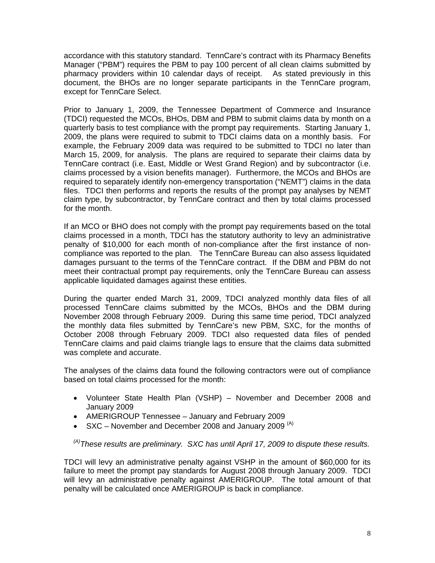accordance with this statutory standard. TennCare's contract with its Pharmacy Benefits Manager ("PBM") requires the PBM to pay 100 percent of all clean claims submitted by pharmacy providers within 10 calendar days of receipt. As stated previously in this document, the BHOs are no longer separate participants in the TennCare program, except for TennCare Select.

Prior to January 1, 2009, the Tennessee Department of Commerce and Insurance (TDCI) requested the MCOs, BHOs, DBM and PBM to submit claims data by month on a quarterly basis to test compliance with the prompt pay requirements. Starting January 1, 2009, the plans were required to submit to TDCI claims data on a monthly basis. For example, the February 2009 data was required to be submitted to TDCI no later than March 15, 2009, for analysis. The plans are required to separate their claims data by TennCare contract (i.e. East, Middle or West Grand Region) and by subcontractor (i.e. claims processed by a vision benefits manager). Furthermore, the MCOs and BHOs are required to separately identify non-emergency transportation ("NEMT") claims in the data files. TDCI then performs and reports the results of the prompt pay analyses by NEMT claim type, by subcontractor, by TennCare contract and then by total claims processed for the month.

If an MCO or BHO does not comply with the prompt pay requirements based on the total claims processed in a month, TDCI has the statutory authority to levy an administrative penalty of \$10,000 for each month of non-compliance after the first instance of noncompliance was reported to the plan. The TennCare Bureau can also assess liquidated damages pursuant to the terms of the TennCare contract. If the DBM and PBM do not meet their contractual prompt pay requirements, only the TennCare Bureau can assess applicable liquidated damages against these entities.

During the quarter ended March 31, 2009, TDCI analyzed monthly data files of all processed TennCare claims submitted by the MCOs, BHOs and the DBM during November 2008 through February 2009. During this same time period, TDCI analyzed the monthly data files submitted by TennCare's new PBM, SXC, for the months of October 2008 through February 2009. TDCI also requested data files of pended TennCare claims and paid claims triangle lags to ensure that the claims data submitted was complete and accurate.

The analyses of the claims data found the following contractors were out of compliance based on total claims processed for the month:

- Volunteer State Health Plan (VSHP) November and December 2008 and January 2009
- AMERIGROUP Tennessee January and February 2009
- $SXC$  November and December 2008 and January 2009  $(A)$

*(A)These results are preliminary. SXC has until April 17, 2009 to dispute these results.* 

TDCI will levy an administrative penalty against VSHP in the amount of \$60,000 for its failure to meet the prompt pay standards for August 2008 through January 2009. TDCI will levy an administrative penalty against AMERIGROUP. The total amount of that penalty will be calculated once AMERIGROUP is back in compliance.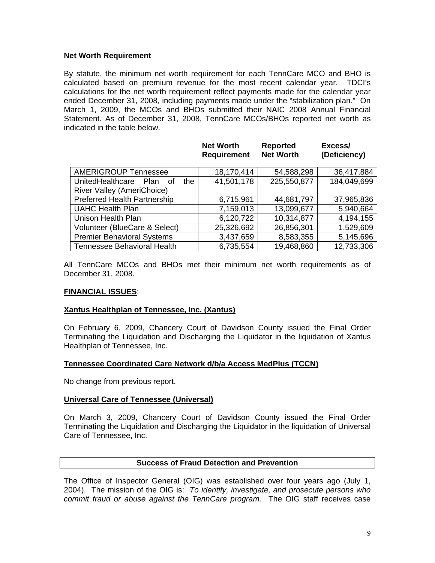# **Net Worth Requirement**

By statute, the minimum net worth requirement for each TennCare MCO and BHO is calculated based on premium revenue for the most recent calendar year. TDCI's calculations for the net worth requirement reflect payments made for the calendar year ended December 31, 2008, including payments made under the "stabilization plan." On March 1, 2009, the MCOs and BHOs submitted their NAIC 2008 Annual Financial Statement. As of December 31, 2008, TennCare MCOs/BHOs reported net worth as indicated in the table below.

|                                      | <b>Net Worth</b><br><b>Requirement</b> | <b>Reported</b><br><b>Net Worth</b> | Excess/<br>(Deficiency) |
|--------------------------------------|----------------------------------------|-------------------------------------|-------------------------|
| <b>AMERIGROUP Tennessee</b>          | 18,170,414                             | 54,588,298                          | 36,417,884              |
| UnitedHealthcare Plan<br>the<br>⊟ of | 41,501,178                             | 225,550,877                         | 184,049,699             |
| River Valley (AmeriChoice)           |                                        |                                     |                         |
| <b>Preferred Health Partnership</b>  | 6,715,961                              | 44,681,797                          | 37,965,836              |
| <b>UAHC Health Plan</b>              | 7,159,013                              | 13,099,677                          | 5,940,664               |
| Unison Health Plan                   | 6,120,722                              | 10,314,877                          | 4,194,155               |
| Volunteer (BlueCare & Select)        | 25,326,692                             | 26,856,301                          | 1,529,609               |
| <b>Premier Behavioral Systems</b>    | 3,437,659                              | 8,583,355                           | 5,145,696               |
| Tennessee Behavioral Health          | 6,735,554                              | 19,468,860                          | 12,733,306              |

**Net Worth** 

All TennCare MCOs and BHOs met their minimum net worth requirements as of December 31, 2008.

# **FINANCIAL ISSUES**:

# **Xantus Healthplan of Tennessee, Inc. (Xantus)**

On February 6, 2009, Chancery Court of Davidson County issued the Final Order Terminating the Liquidation and Discharging the Liquidator in the liquidation of Xantus Healthplan of Tennessee, Inc.

# **Tennessee Coordinated Care Network d/b/a Access MedPlus (TCCN)**

No change from previous report.

# **Universal Care of Tennessee (Universal)**

On March 3, 2009, Chancery Court of Davidson County issued the Final Order Terminating the Liquidation and Discharging the Liquidator in the liquidation of Universal Care of Tennessee, Inc.

# **Success of Fraud Detection and Prevention**

The Office of Inspector General (OIG) was established over four years ago (July 1, 2004). The mission of the OIG is: *To identify, investigate, and prosecute persons who commit fraud or abuse against the TennCare program.* The OIG staff receives case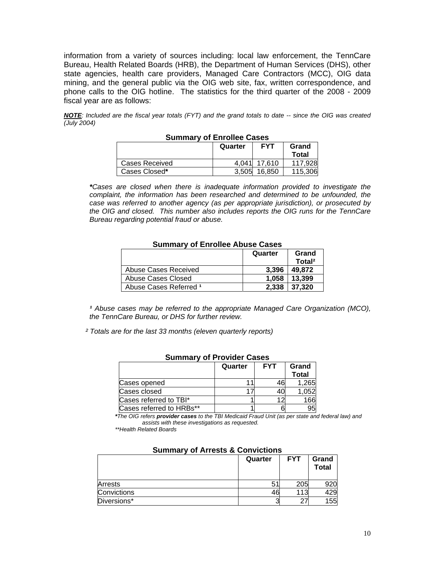information from a variety of sources including: local law enforcement, the TennCare Bureau, Health Related Boards (HRB), the Department of Human Services (DHS), other state agencies, health care providers, Managed Care Contractors (MCC), OIG data mining, and the general public via the OIG web site, fax, written correspondence, and phone calls to the OIG hotline. The statistics for the third quarter of the 2008 - 2009 fiscal year are as follows:

*NOTE: Included are the fiscal year totals (FYT) and the grand totals to date -- since the OIG was created (July 2004)* 

|                | Quarter | <b>FYT</b> | Grand<br><b>Total</b> |
|----------------|---------|------------|-----------------------|
| Cases Received | 4.041   | 17.610     | 117.928               |
| Cases Closed*  | 3.505   | 16.850     | 115,306               |

#### **Summary of Enrollee Cases**

*\*Cases are closed when there is inadequate information provided to investigate the complaint, the information has been researched and determined to be unfounded, the case was referred to another agency (as per appropriate jurisdiction), or prosecuted by the OIG and closed. This number also includes reports the OIG runs for the TennCare Bureau regarding potential fraud or abuse.* 

#### **Summary of Enrollee Abuse Cases**

|                        | Quarter | Grand              |
|------------------------|---------|--------------------|
|                        |         | Total <sup>2</sup> |
| Abuse Cases Received   | 3.396   | 49.872             |
| Abuse Cases Closed     | 1,058   | 13.399             |
| Abuse Cases Referred 1 | 2.338   | 37.320             |

<sup>1</sup> Abuse cases may be referred to the appropriate Managed Care Organization (MCO), *the TennCare Bureau, or DHS for further review.* 

 *² Totals are for the last 33 months (eleven quarterly reports)* 

| Summary of Provider Gases |         |            |              |  |
|---------------------------|---------|------------|--------------|--|
|                           | Quarter | <b>FYT</b> |              |  |
|                           |         |            | <b>Total</b> |  |
| Cases opened              |         | 46         | 1,265        |  |
| Cases closed              |         |            | 1,052        |  |
| Cases referred to TBI*    |         |            | 166          |  |
| Cases referred to HRBs**  |         |            | 95           |  |

# **Summary of Provider Cases**

*\*The OIG refers provider cases to the TBI Medicaid Fraud Unit (as per state and federal law) and assists with these investigations as requested.* 

 *\*\*Health Related Boards* 

| .           |         |            |                       |  |
|-------------|---------|------------|-----------------------|--|
|             | Quarter | <b>FYT</b> | Grand<br><b>Total</b> |  |
| Arrests     |         | 205        | 920                   |  |
| Convictions |         | 113        | 129                   |  |
| Diversions* |         | っ          | 55                    |  |

# **Summary of Arrests & Convictions**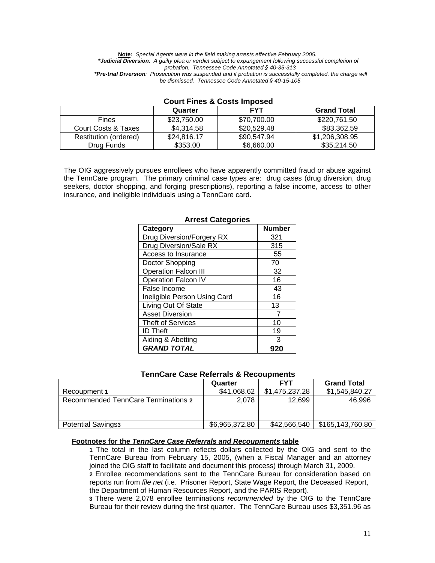**Note:** *Special Agents were in the field making arrests effective February 2005. \*Judicial Diversion: A guilty plea or verdict subject to expungement following successful completion of probation. Tennessee Code Annotated § 40-35-313 \*Pre-trial Diversion: Prosecution was suspended and if probation is successfully completed, the charge will be dismissed. Tennessee Code Annotated § 40-15-105* 

|                       | Quarter     | <b>FYT</b>  | <b>Grand Total</b> |  |  |
|-----------------------|-------------|-------------|--------------------|--|--|
| <b>Fines</b>          | \$23,750,00 | \$70,700,00 | \$220.761.50       |  |  |
| Court Costs & Taxes   | \$4.314.58  | \$20,529.48 | \$83,362.59        |  |  |
| Restitution (ordered) | \$24,816.17 | \$90,547.94 | \$1,206,308.95     |  |  |
| Drug Funds            | \$353.00    | \$6,660.00  | \$35,214.50        |  |  |

# **Court Fines & Costs Imposed**

The OIG aggressively pursues enrollees who have apparently committed fraud or abuse against the TennCare program. The primary criminal case types are: drug cases (drug diversion, drug seekers, doctor shopping, and forging prescriptions), reporting a false income, access to other insurance, and ineligible individuals using a TennCare card.

| Category                     | <b>Number</b> |
|------------------------------|---------------|
| Drug Diversion/Forgery RX    | 321           |
| Drug Diversion/Sale RX       | 315           |
| Access to Insurance          | 55            |
| Doctor Shopping              | 70            |
| <b>Operation Falcon III</b>  | 32            |
| <b>Operation Falcon IV</b>   | 16            |
| False Income                 | 43            |
| Ineligible Person Using Card | 16            |
| Living Out Of State          | 13            |
| <b>Asset Diversion</b>       | 7             |
| <b>Theft of Services</b>     | 10            |
| <b>ID Theft</b>              | 19            |
| Aiding & Abetting            | 3             |
| <b>GRAND TOTAL</b>           |               |

### **Arrest Categories**

#### **TennCare Case Referrals & Recoupments**

| Recoupment 1                        | Quarter<br>\$41,068.62 | <b>FYT</b><br>\$1.475.237.28 | <b>Grand Total</b><br>\$1,545,840.27 |
|-------------------------------------|------------------------|------------------------------|--------------------------------------|
| Recommended TennCare Terminations 2 | 2.078                  | 12.699                       | 46.996                               |
|                                     |                        |                              |                                      |
| <b>Potential Savings3</b>           | \$6,965,372.80         | \$42,566,540                 | \$165,143,760.80                     |

#### **Footnotes for the** *TennCare Case Referrals and Recoupments* **table**

 **1** The total in the last column reflects dollars collected by the OIG and sent to the TennCare Bureau from February 15, 2005, (when a Fiscal Manager and an attorney joined the OIG staff to facilitate and document this process) through March 31, 2009.

 **2** Enrollee recommendations sent to the TennCare Bureau for consideration based on reports run from *file net* (i.e. Prisoner Report, State Wage Report, the Deceased Report, the Department of Human Resources Report, and the PARIS Report).

 **3** There were 2,078 enrollee terminations *recommended* by the OIG to the TennCare Bureau for their review during the first quarter. The TennCare Bureau uses \$3,351.96 as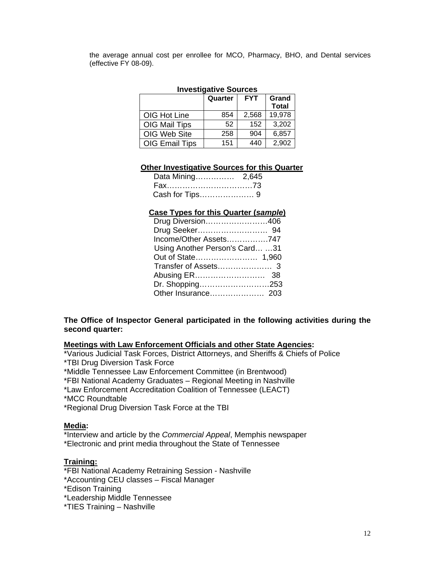the average annual cost per enrollee for MCO, Pharmacy, BHO, and Dental services (effective FY 08-09).

# **Investigative Sources**

|                       | Quarter | <b>FYT</b> | Grand<br><b>Total</b> |
|-----------------------|---------|------------|-----------------------|
| OIG Hot Line          | 854     | 2,568      | 19,978                |
| OIG Mail Tips         | 52      | 152        | 3,202                 |
| OIG Web Site          | 258     | 904        | 6,857                 |
| <b>OIG Email Tips</b> | 151     | 440        | 2,902                 |

#### **Other Investigative Sources for this Quarter**

| Fax73 |  |
|-------|--|
|       |  |

#### **Case Types for this Quarter (***sample***)**

| Drug Diversion406              |  |
|--------------------------------|--|
|                                |  |
| Income/Other Assets747         |  |
| Using Another Person's Card 31 |  |
|                                |  |
|                                |  |
|                                |  |
| Dr. Shopping253                |  |
|                                |  |

# **The Office of Inspector General participated in the following activities during the second quarter:**

**Meetings with Law Enforcement Officials and other State Agencies:**

\*Various Judicial Task Forces, District Attorneys, and Sheriffs & Chiefs of Police \*TBI Drug Diversion Task Force

\*Middle Tennessee Law Enforcement Committee (in Brentwood)

\*FBI National Academy Graduates – Regional Meeting in Nashville

\*Law Enforcement Accreditation Coalition of Tennessee (LEACT)

\*MCC Roundtable

\*Regional Drug Diversion Task Force at the TBI

# **Media:**

\*Interview and article by the *Commercial Appeal*, Memphis newspaper \*Electronic and print media throughout the State of Tennessee

# **Training:**

\*FBI National Academy Retraining Session - Nashville

\*Accounting CEU classes – Fiscal Manager

\*Edison Training

\*Leadership Middle Tennessee

\*TIES Training – Nashville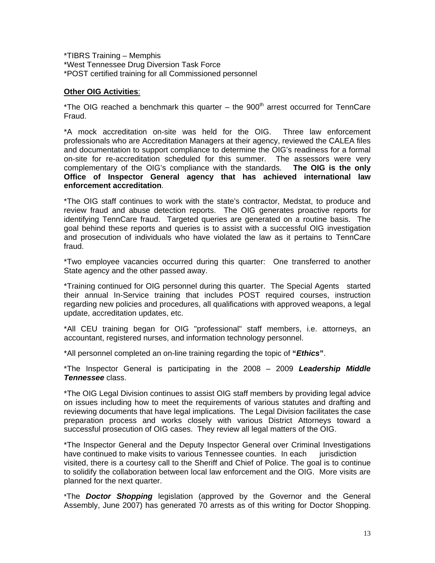\*TIBRS Training – Memphis \*West Tennessee Drug Diversion Task Force \*POST certified training for all Commissioned personnel

# **Other OIG Activities**:

\*The OIG reached a benchmark this quarter – the  $900<sup>th</sup>$  arrest occurred for TennCare Fraud.

\*A mock accreditation on-site was held for the OIG. Three law enforcement professionals who are Accreditation Managers at their agency, reviewed the CALEA files and documentation to support compliance to determine the OIG's readiness for a formal on-site for re-accreditation scheduled for this summer. The assessors were very complementary of the OIG's compliance with the standards. **The OIG is the only Office of Inspector General agency that has achieved international law enforcement accreditation**.

\*The OIG staff continues to work with the state's contractor, Medstat, to produce and review fraud and abuse detection reports. The OIG generates proactive reports for identifying TennCare fraud. Targeted queries are generated on a routine basis. The goal behind these reports and queries is to assist with a successful OIG investigation and prosecution of individuals who have violated the law as it pertains to TennCare fraud.

 \*Two employee vacancies occurred during this quarter: One transferred to another State agency and the other passed away.

\*Training continued for OIG personnel during this quarter. The Special Agents started their annual In-Service training that includes POST required courses, instruction regarding new policies and procedures, all qualifications with approved weapons, a legal update, accreditation updates, etc.

\*All CEU training began for OIG "professional" staff members, i.e. attorneys, an accountant, registered nurses, and information technology personnel.

\*All personnel completed an on-line training regarding the topic of **"***Ethics***"**.

\*The Inspector General is participating in the 2008 – 2009 *Leadership Middle Tennessee* class.

\*The OIG Legal Division continues to assist OIG staff members by providing legal advice on issues including how to meet the requirements of various statutes and drafting and reviewing documents that have legal implications. The Legal Division facilitates the case preparation process and works closely with various District Attorneys toward a successful prosecution of OIG cases. They review all legal matters of the OIG.

\*The Inspector General and the Deputy Inspector General over Criminal Investigations have continued to make visits to various Tennessee counties. In each jurisdiction visited, there is a courtesy call to the Sheriff and Chief of Police. The goal is to continue to solidify the collaboration between local law enforcement and the OIG. More visits are planned for the next quarter. İ

\*The *Doctor Shopping* legislation (approved by the Governor and the General Assembly, June 2007) has generated 70 arrests as of this writing for Doctor Shopping.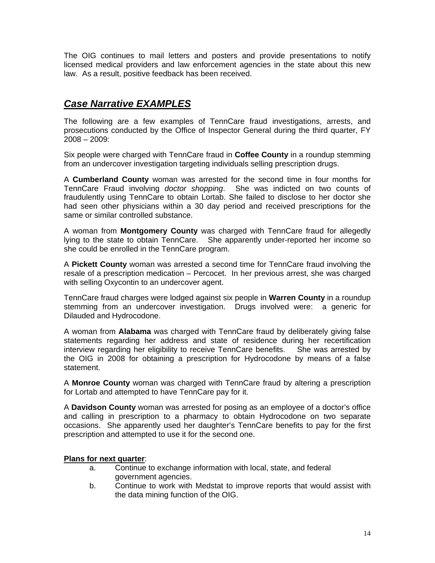The OIG continues to mail letters and posters and provide presentations to notify licensed medical providers and law enforcement agencies in the state about this new law. As a result, positive feedback has been received.

# *Case Narrative EXAMPLES*

The following are a few examples of TennCare fraud investigations, arrests, and prosecutions conducted by the Office of Inspector General during the third quarter, FY 2008 – 2009:

Six people were charged with TennCare fraud in **Coffee County** in a roundup stemming from an undercover investigation targeting individuals selling prescription drugs.

A **Cumberland County** woman was arrested for the second time in four months for TennCare Fraud involving *doctor shopping*. She was indicted on two counts of fraudulently using TennCare to obtain Lortab. She failed to disclose to her doctor she had seen other physicians within a 30 day period and received prescriptions for the same or similar controlled substance.

A woman from **Montgomery County** was charged with TennCare fraud for allegedly lying to the state to obtain TennCare. She apparently under-reported her income so she could be enrolled in the TennCare program.

A **Pickett County** woman was arrested a second time for TennCare fraud involving the resale of a prescription medication – Percocet. In her previous arrest, she was charged with selling Oxycontin to an undercover agent.

TennCare fraud charges were lodged against six people in **Warren County** in a roundup stemming from an undercover investigation. Drugs involved were: a generic for Dilauded and Hydrocodone.

A woman from **Alabama** was charged with TennCare fraud by deliberately giving false statements regarding her address and state of residence during her recertification interview regarding her eligibility to receive TennCare benefits. She was arrested by the OIG in 2008 for obtaining a prescription for Hydrocodone by means of a false statement.

A **Monroe County** woman was charged with TennCare fraud by altering a prescription for Lortab and attempted to have TennCare pay for it.

A **Davidson County** woman was arrested for posing as an employee of a doctor's office and calling in prescription to a pharmacy to obtain Hydrocodone on two separate occasions. She apparently used her daughter's TennCare benefits to pay for the first prescription and attempted to use it for the second one.

# **Plans for next quarter**:

- a. Continue to exchange information with local, state, and federal government agencies.
- b. Continue to work with Medstat to improve reports that would assist with the data mining function of the OIG.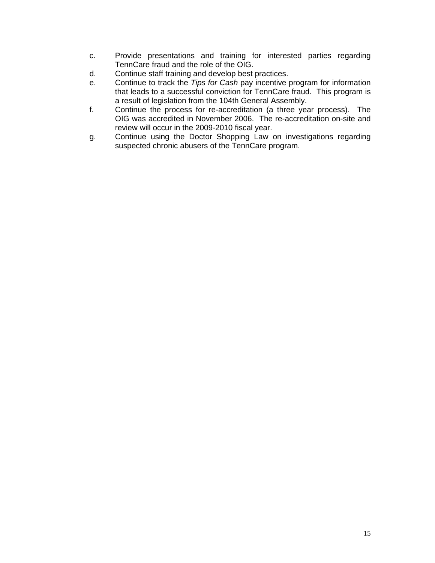- c. Provide presentations and training for interested parties regarding TennCare fraud and the role of the OIG.
- d. Continue staff training and develop best practices.
- e. Continue to track the *Tips for Cash* pay incentive program for information that leads to a successful conviction for TennCare fraud. This program is a result of legislation from the 104th General Assembly.
- f. Continue the process for re-accreditation (a three year process). The OIG was accredited in November 2006. The re-accreditation on-site and review will occur in the 2009-2010 fiscal year.
- g. Continue using the Doctor Shopping Law on investigations regarding suspected chronic abusers of the TennCare program.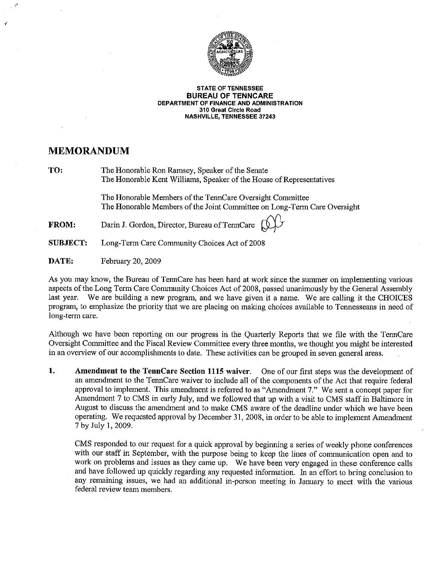

#### **STATE OF TENNESSEE BUREAU OF TENNCARE** DEPARTMENT OF FINANCE AND ADMINISTRATION 310 Great Circle Road **NASHVILLE, TENNESSEE 37243**

# **MEMORANDUM**

TO:

The Honorable Ron Ramsey, Speaker of the Senate The Honorable Kent Williams, Speaker of the House of Representatives

The Honorable Members of the TennCare Oversight Committee The Honorable Members of the Joint Committee on Long-Term Care Oversight

Darin J. Gordon, Director, Bureau of TennCare **FROM:** 



**SUBJECT:** Long-Term Care Community Choices Act of 2008

DATE: February 20, 2009

As you may know, the Bureau of TennCare has been hard at work since the summer on implementing various aspects of the Long Term Care Community Choices Act of 2008, passed unanimously by the General Assembly We are building a new program, and we have given it a name. We are calling it the CHOICES last year. program, to emphasize the priority that we are placing on making choices available to Tennesseans in need of long-term care.

Although we have been reporting on our progress in the Quarterly Reports that we file with the TennCare Oversight Committee and the Fiscal Review Committee every three months, we thought you might be interested in an overview of our accomplishments to date. These activities can be grouped in seven general areas.

1. Amendment to the TennCare Section 1115 waiver. One of our first steps was the development of an amendment to the TennCare waiver to include all of the components of the Act that require federal approval to implement. This amendment is referred to as "Amendment 7." We sent a concept paper for Amendment 7 to CMS in early July, and we followed that up with a visit to CMS staff in Baltimore in August to discuss the amendment and to make CMS aware of the deadline under which we have been operating. We requested approval by December 31, 2008, in order to be able to implement Amendment 7 by July 1, 2009.

CMS responded to our request for a quick approval by beginning a series of weekly phone conferences with our staff in September, with the purpose being to keep the lines of communication open and to work on problems and issues as they came up. We have been very engaged in these conference calls and have followed up quickly regarding any requested information. In an effort to bring conclusion to any remaining issues, we had an additional in-person meeting in January to meet with the various federal review team members.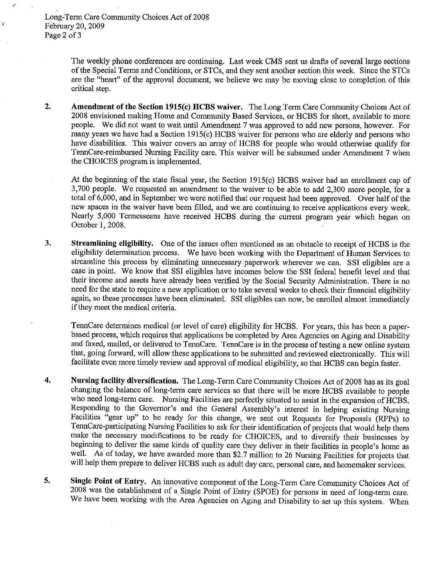Long-Term Care Community Choices Act of 2008 February 20, 2009 Page 2 of 3

> The weekly phone conferences are continuing. Last week CMS sent us drafts of several large sections of the Special Terms and Conditions, or STCs, and they sent another section this week. Since the STCs are the "heart" of the approval document, we believe we may be moving close to completion of this critical step.

 $2.$ Amendment of the Section 1915(c) HCBS waiver. The Long Term Care Community Choices Act of 2008 envisioned making Home and Community Based Services, or HCBS for short, available to more people. We did not want to wait until Amendment 7 was approved to add new persons, however. For many years we have had a Section 1915(c) HCBS waiver for persons who are elderly and persons who have disabilities. This waiver covers an array of HCBS for people who would otherwise qualify for TennCare-reimbursed Nursing Facility care. This waiver will be subsumed under Amendment 7 when the CHOICES program is implemented.

At the beginning of the state fiscal year, the Section 1915(c) HCBS waiver had an enrollment cap of 3,700 people. We requested an amendment to the waiver to be able to add 2,300 more people, for a total of 6,000, and in September we were notified that our request had been approved. Over half of the new spaces in the waiver have been filled, and we are continuing to receive applications every week. Nearly 5,000 Tennesseans have received HCBS during the current program year which began on October 1, 2008.

Streamlining eligibility. One of the issues often mentioned as an obstacle to receipt of HCBS is the 3. eligibility determination process. We have been working with the Department of Human Services to streamline this process by eliminating unnecessary paperwork wherever we can. SSI eligibles are a case in point. We know that SSI eligibles have incomes below the SSI federal benefit level and that their income and assets have already been verified by the Social Security Administration. There is no need for the state to require a new application or to take several weeks to check their financial eligibility again, so these processes have been eliminated. SSI eligibles can now, be enrolled almost immediately if they meet the medical criteria.

TennCare determines medical (or level of care) eligibility for HCBS. For years, this has been a paperbased process, which requires that applications be completed by Area Agencies on Aging and Disability and faxed, mailed, or delivered to TennCare. TennCare is in the process of testing a new online system that, going forward, will allow these applications to be submitted and reviewed electronically. This will facilitate even more timely review and approval of medical eligibility, so that HCBS can begin faster.

- 4. Nursing facility diversification. The Long-Term Care Community Choices Act of 2008 has as its goal changing the balance of long-term care services so that there will be more HCBS available to people who need long-term care. Nursing Facilities are perfectly situated to assist in the expansion of HCBS. Responding to the Governor's and the General Assembly's interest in helping existing Nursing Facilities "gear up" to be ready for this change, we sent out Requests for Proposals (RFPs) to TennCare-participating Nursing Facilities to ask for their identification of projects that would help them make the necessary modifications to be ready for CHOICES, and to diversify their businesses by beginning to deliver the same kinds of quality care they deliver in their facilities in people's home as well. As of today, we have awarded more than \$2.7 million to 26 Nursing Facilities for projects that will help them prepare to deliver HCBS such as adult day care, personal care, and homemaker services.
- 5. Single Point of Entry. An innovative component of the Long-Term Care Community Choices Act of 2008 was the establishment of a Single Point of Entry (SPOE) for persons in need of long-term care. We have been working with the Area Agencies on Aging and Disability to set up this system. When